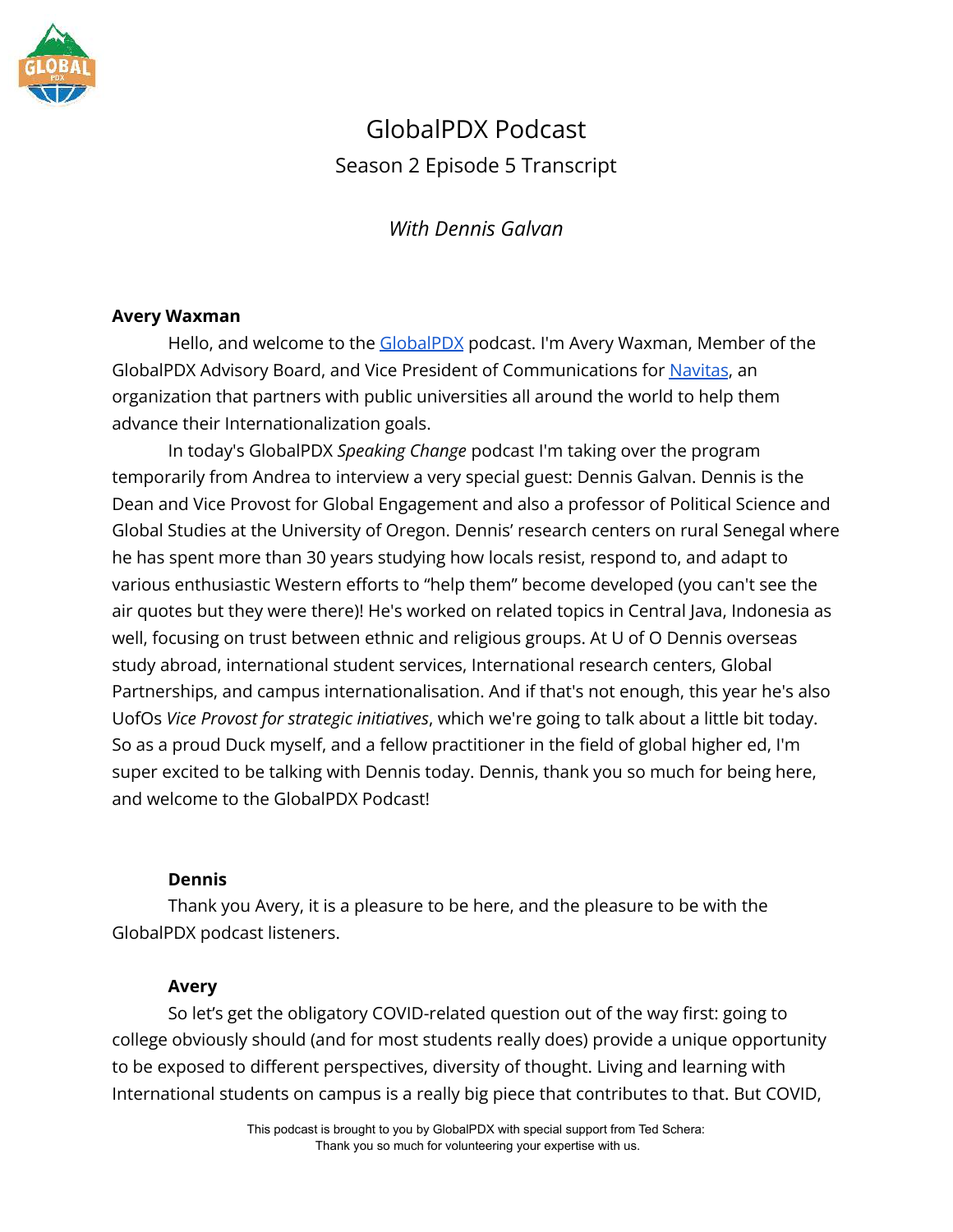

# GlobalPDX Podcast Season 2 Episode 5 Transcript

*With Dennis Galvan*

## **Avery Waxman**

Hello, and welcome to the [GlobalPDX](https://globalpdx.org/) podcast. I'm Avery Waxman, Member of the GlobalPDX Advisory Board, and Vice President of Communications for [Navitas](https://www.navitas.com/), an organization that partners with public universities all around the world to help them advance their Internationalization goals.

In today's GlobalPDX *Speaking Change* podcast I'm taking over the program temporarily from Andrea to interview a very special guest: Dennis Galvan. Dennis is the Dean and Vice Provost for Global Engagement and also a professor of Political Science and Global Studies at the University of Oregon. Dennis' research centers on rural Senegal where he has spent more than 30 years studying how locals resist, respond to, and adapt to various enthusiastic Western efforts to "help them" become developed (you can't see the air quotes but they were there)! He's worked on related topics in Central Java, Indonesia as well, focusing on trust between ethnic and religious groups. At U of O Dennis overseas study abroad, international student services, International research centers, Global Partnerships, and campus internationalisation. And if that's not enough, this year he's also UofOs *Vice Provost for strategic initiatives*, which we're going to talk about a little bit today. So as a proud Duck myself, and a fellow practitioner in the field of global higher ed, I'm super excited to be talking with Dennis today. Dennis, thank you so much for being here, and welcome to the GlobalPDX Podcast!

## **Dennis**

Thank you Avery, it is a pleasure to be here, and the pleasure to be with the GlobalPDX podcast listeners.

## **Avery**

So let's get the obligatory COVID-related question out of the way first: going to college obviously should (and for most students really does) provide a unique opportunity to be exposed to different perspectives, diversity of thought. Living and learning with International students on campus is a really big piece that contributes to that. But COVID,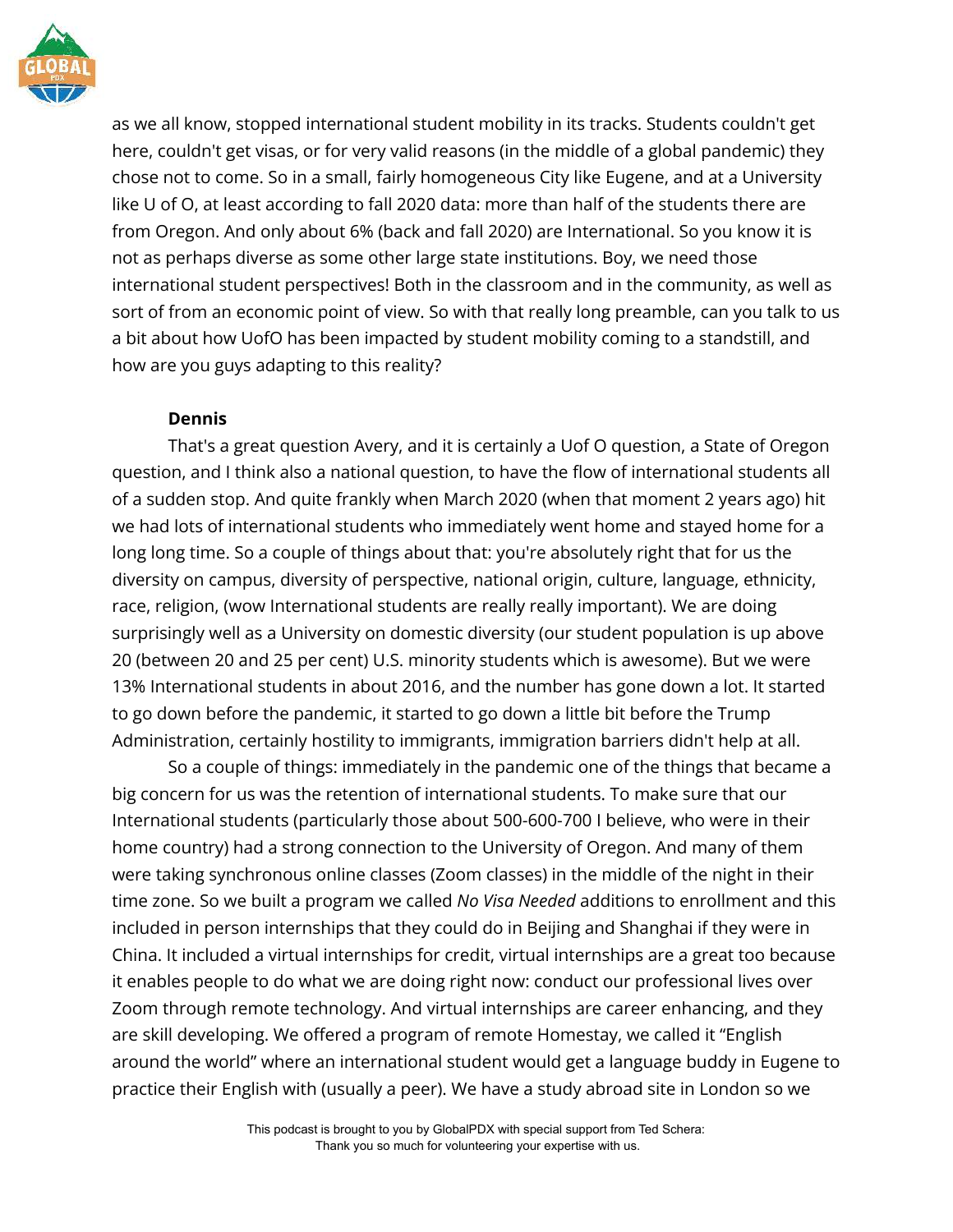

as we all know, stopped international student mobility in its tracks. Students couldn't get here, couldn't get visas, or for very valid reasons (in the middle of a global pandemic) they chose not to come. So in a small, fairly homogeneous City like Eugene, and at a University like U of O, at least according to fall 2020 data: more than half of the students there are from Oregon. And only about 6% (back and fall 2020) are International. So you know it is not as perhaps diverse as some other large state institutions. Boy, we need those international student perspectives! Both in the classroom and in the community, as well as sort of from an economic point of view. So with that really long preamble, can you talk to us a bit about how UofO has been impacted by student mobility coming to a standstill, and how are you guys adapting to this reality?

## **Dennis**

That's a great question Avery, and it is certainly a Uof O question, a State of Oregon question, and I think also a national question, to have the flow of international students all of a sudden stop. And quite frankly when March 2020 (when that moment 2 years ago) hit we had lots of international students who immediately went home and stayed home for a long long time. So a couple of things about that: you're absolutely right that for us the diversity on campus, diversity of perspective, national origin, culture, language, ethnicity, race, religion, (wow International students are really really important). We are doing surprisingly well as a University on domestic diversity (our student population is up above 20 (between 20 and 25 per cent) U.S. minority students which is awesome). But we were 13% International students in about 2016, and the number has gone down a lot. It started to go down before the pandemic, it started to go down a little bit before the Trump Administration, certainly hostility to immigrants, immigration barriers didn't help at all.

So a couple of things: immediately in the pandemic one of the things that became a big concern for us was the retention of international students. To make sure that our International students (particularly those about 500-600-700 I believe, who were in their home country) had a strong connection to the University of Oregon. And many of them were taking synchronous online classes (Zoom classes) in the middle of the night in their time zone. So we built a program we called *No Visa Needed* additions to enrollment and this included in person internships that they could do in Beijing and Shanghai if they were in China. It included a virtual internships for credit, virtual internships are a great too because it enables people to do what we are doing right now: conduct our professional lives over Zoom through remote technology. And virtual internships are career enhancing, and they are skill developing. We offered a program of remote Homestay, we called it "English around the world" where an international student would get a language buddy in Eugene to practice their English with (usually a peer). We have a study abroad site in London so we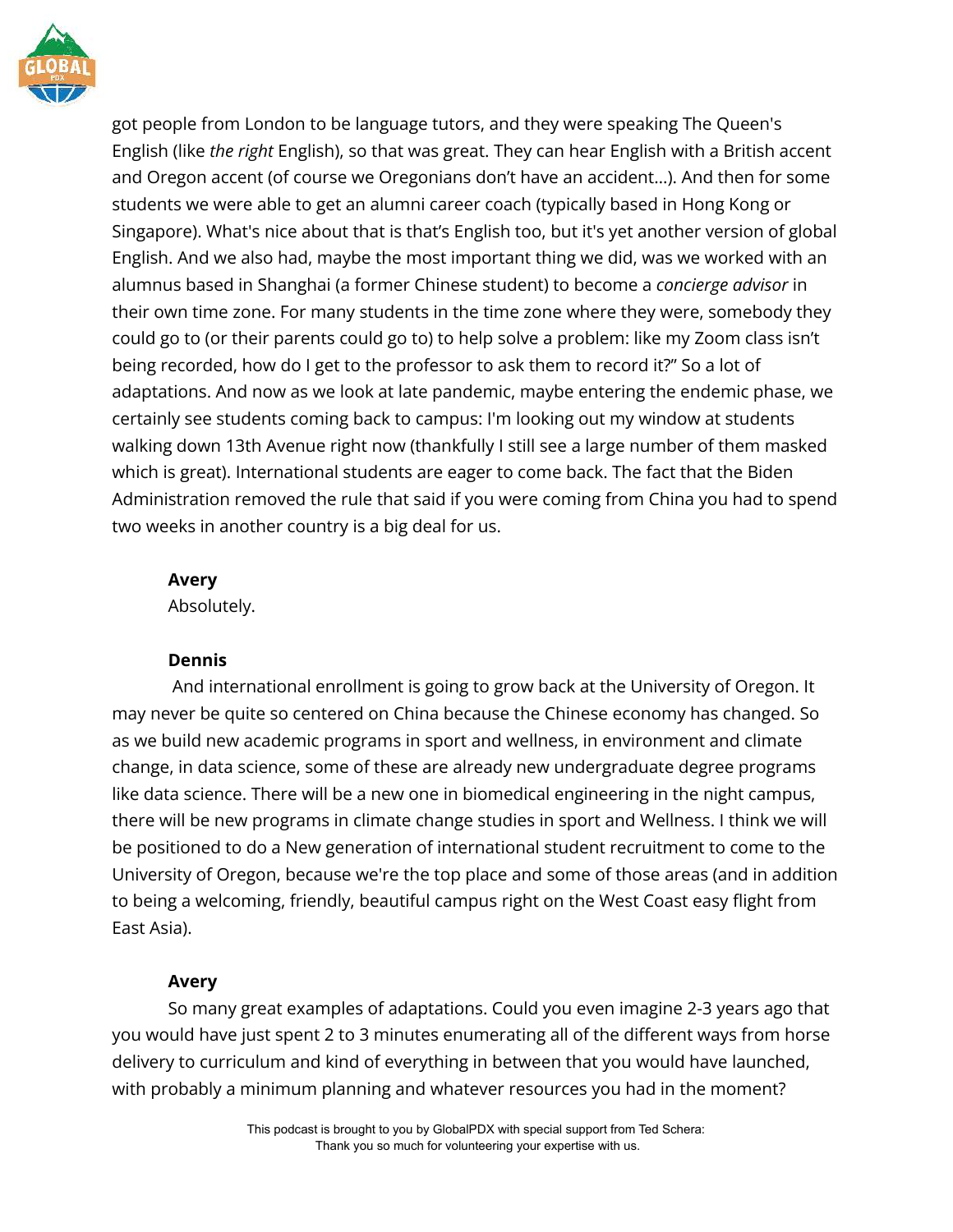

got people from London to be language tutors, and they were speaking The Queen's English (like *the right* English), so that was great. They can hear English with a British accent and Oregon accent (of course we Oregonians don't have an accident…). And then for some students we were able to get an alumni career coach (typically based in Hong Kong or Singapore). What's nice about that is that's English too, but it's yet another version of global English. And we also had, maybe the most important thing we did, was we worked with an alumnus based in Shanghai (a former Chinese student) to become a *concierge advisor* in their own time zone. For many students in the time zone where they were, somebody they could go to (or their parents could go to) to help solve a problem: like my Zoom class isn't being recorded, how do I get to the professor to ask them to record it?" So a lot of adaptations. And now as we look at late pandemic, maybe entering the endemic phase, we certainly see students coming back to campus: I'm looking out my window at students walking down 13th Avenue right now (thankfully I still see a large number of them masked which is great). International students are eager to come back. The fact that the Biden Administration removed the rule that said if you were coming from China you had to spend two weeks in another country is a big deal for us.

## **Avery**

Absolutely.

## **Dennis**

And international enrollment is going to grow back at the University of Oregon. It may never be quite so centered on China because the Chinese economy has changed. So as we build new academic programs in sport and wellness, in environment and climate change, in data science, some of these are already new undergraduate degree programs like data science. There will be a new one in biomedical engineering in the night campus, there will be new programs in climate change studies in sport and Wellness. I think we will be positioned to do a New generation of international student recruitment to come to the University of Oregon, because we're the top place and some of those areas (and in addition to being a welcoming, friendly, beautiful campus right on the West Coast easy flight from East Asia).

# **Avery**

So many great examples of adaptations. Could you even imagine 2-3 years ago that you would have just spent 2 to 3 minutes enumerating all of the different ways from horse delivery to curriculum and kind of everything in between that you would have launched, with probably a minimum planning and whatever resources you had in the moment?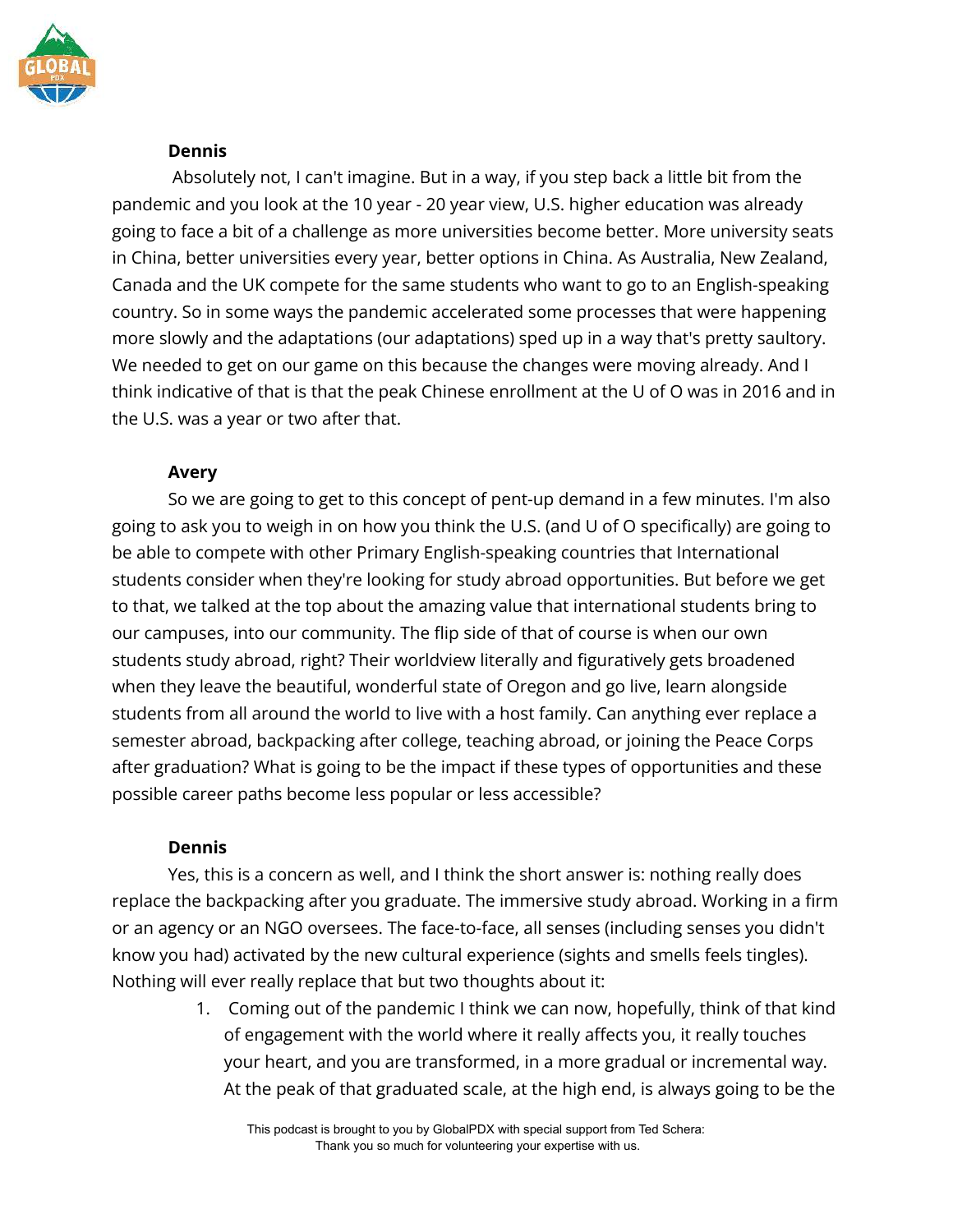

## **Dennis**

Absolutely not, I can't imagine. But in a way, if you step back a little bit from the pandemic and you look at the 10 year - 20 year view, U.S. higher education was already going to face a bit of a challenge as more universities become better. More university seats in China, better universities every year, better options in China. As Australia, New Zealand, Canada and the UK compete for the same students who want to go to an English-speaking country. So in some ways the pandemic accelerated some processes that were happening more slowly and the adaptations (our adaptations) sped up in a way that's pretty saultory. We needed to get on our game on this because the changes were moving already. And I think indicative of that is that the peak Chinese enrollment at the U of O was in 2016 and in the U.S. was a year or two after that.

## **Avery**

So we are going to get to this concept of pent-up demand in a few minutes. I'm also going to ask you to weigh in on how you think the U.S. (and U of O specifically) are going to be able to compete with other Primary English-speaking countries that International students consider when they're looking for study abroad opportunities. But before we get to that, we talked at the top about the amazing value that international students bring to our campuses, into our community. The flip side of that of course is when our own students study abroad, right? Their worldview literally and figuratively gets broadened when they leave the beautiful, wonderful state of Oregon and go live, learn alongside students from all around the world to live with a host family. Can anything ever replace a semester abroad, backpacking after college, teaching abroad, or joining the Peace Corps after graduation? What is going to be the impact if these types of opportunities and these possible career paths become less popular or less accessible?

## **Dennis**

Yes, this is a concern as well, and I think the short answer is: nothing really does replace the backpacking after you graduate. The immersive study abroad. Working in a firm or an agency or an NGO oversees. The face-to-face, all senses (including senses you didn't know you had) activated by the new cultural experience (sights and smells feels tingles). Nothing will ever really replace that but two thoughts about it:

> 1. Coming out of the pandemic I think we can now, hopefully, think of that kind of engagement with the world where it really affects you, it really touches your heart, and you are transformed, in a more gradual or incremental way. At the peak of that graduated scale, at the high end, is always going to be the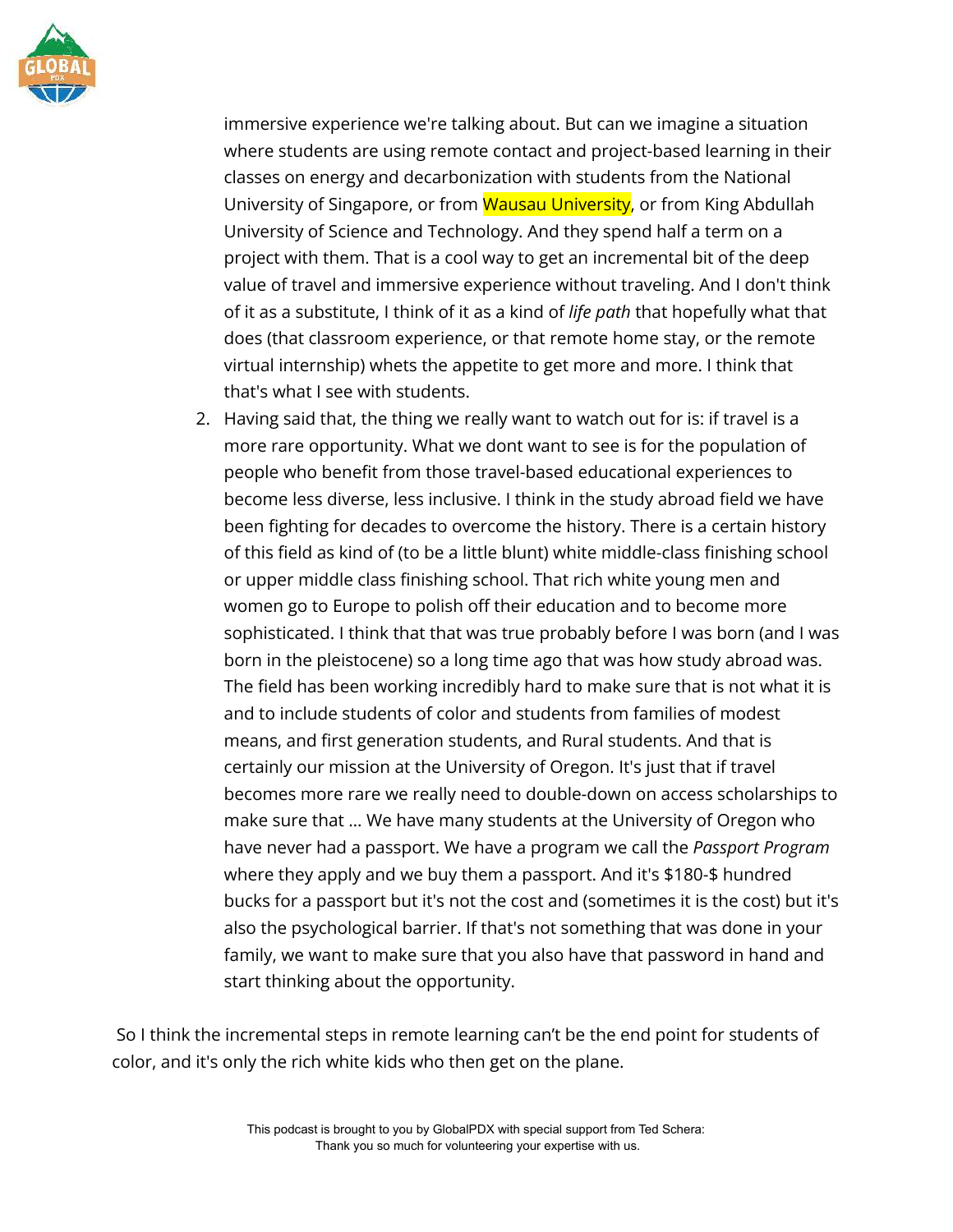

immersive experience we're talking about. But can we imagine a situation where students are using remote contact and project-based learning in their classes on energy and decarbonization with students from the National University of Singapore, or from Wausau University, or from King Abdullah University of Science and Technology. And they spend half a term on a project with them. That is a cool way to get an incremental bit of the deep value of travel and immersive experience without traveling. And I don't think of it as a substitute, I think of it as a kind of *life path* that hopefully what that does (that classroom experience, or that remote home stay, or the remote virtual internship) whets the appetite to get more and more. I think that that's what I see with students.

2. Having said that, the thing we really want to watch out for is: if travel is a more rare opportunity. What we dont want to see is for the population of people who benefit from those travel-based educational experiences to become less diverse, less inclusive. I think in the study abroad field we have been fighting for decades to overcome the history. There is a certain history of this field as kind of (to be a little blunt) white middle-class finishing school or upper middle class finishing school. That rich white young men and women go to Europe to polish off their education and to become more sophisticated. I think that that was true probably before I was born (and I was born in the pleistocene) so a long time ago that was how study abroad was. The field has been working incredibly hard to make sure that is not what it is and to include students of color and students from families of modest means, and first generation students, and Rural students. And that is certainly our mission at the University of Oregon. It's just that if travel becomes more rare we really need to double-down on access scholarships to make sure that … We have many students at the University of Oregon who have never had a passport. We have a program we call the *Passport Program* where they apply and we buy them a passport. And it's \$180-\$ hundred bucks for a passport but it's not the cost and (sometimes it is the cost) but it's also the psychological barrier. If that's not something that was done in your family, we want to make sure that you also have that password in hand and start thinking about the opportunity.

So I think the incremental steps in remote learning can't be the end point for students of color, and it's only the rich white kids who then get on the plane.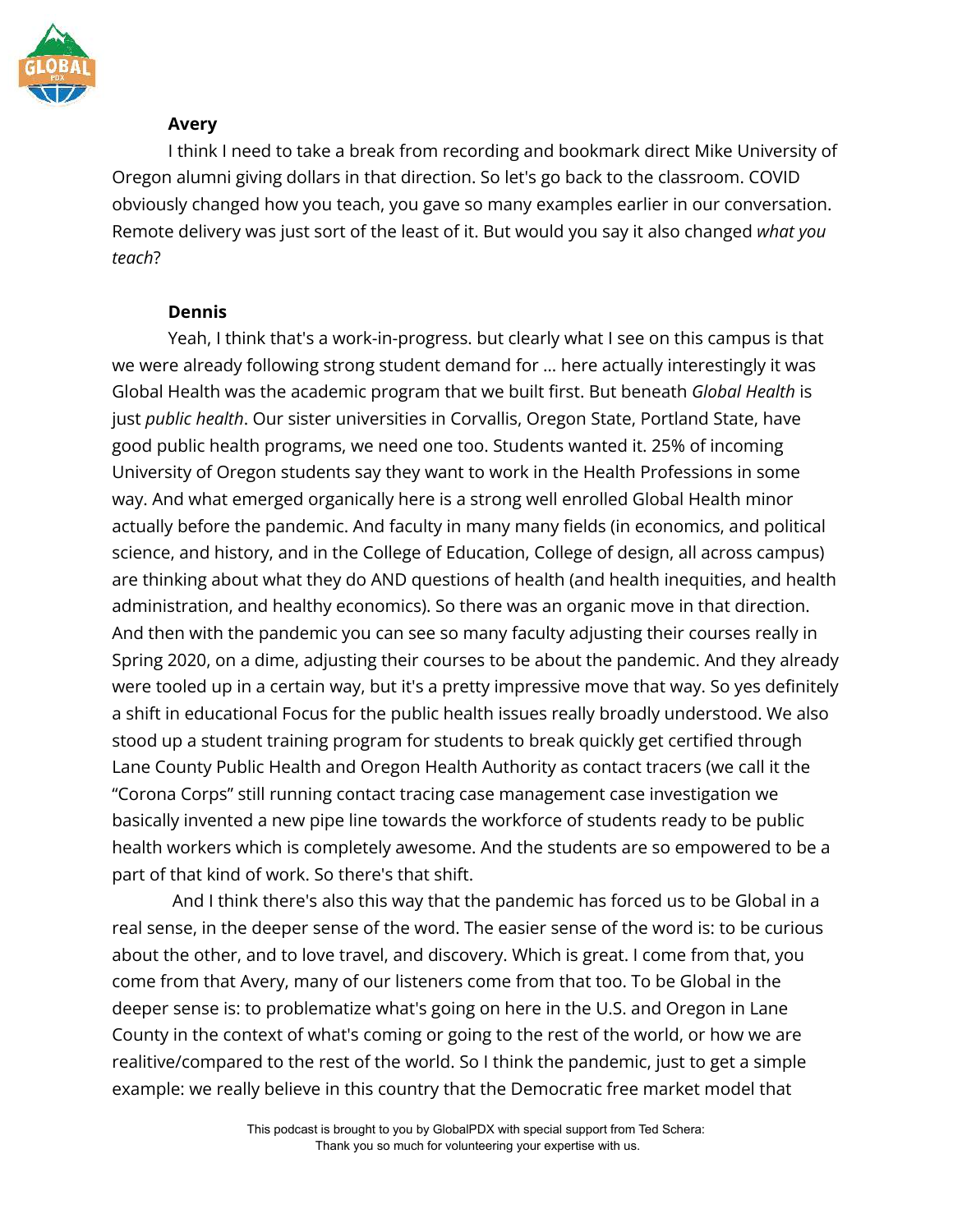

# **Avery**

I think I need to take a break from recording and bookmark direct Mike University of Oregon alumni giving dollars in that direction. So let's go back to the classroom. COVID obviously changed how you teach, you gave so many examples earlier in our conversation. Remote delivery was just sort of the least of it. But would you say it also changed *what you teach*?

## **Dennis**

Yeah, I think that's a work-in-progress. but clearly what I see on this campus is that we were already following strong student demand for … here actually interestingly it was Global Health was the academic program that we built first. But beneath *Global Health* is just *public health*. Our sister universities in Corvallis, Oregon State, Portland State, have good public health programs, we need one too. Students wanted it. 25% of incoming University of Oregon students say they want to work in the Health Professions in some way. And what emerged organically here is a strong well enrolled Global Health minor actually before the pandemic. And faculty in many many fields (in economics, and political science, and history, and in the College of Education, College of design, all across campus) are thinking about what they do AND questions of health (and health inequities, and health administration, and healthy economics). So there was an organic move in that direction. And then with the pandemic you can see so many faculty adjusting their courses really in Spring 2020, on a dime, adjusting their courses to be about the pandemic. And they already were tooled up in a certain way, but it's a pretty impressive move that way. So yes definitely a shift in educational Focus for the public health issues really broadly understood. We also stood up a student training program for students to break quickly get certified through Lane County Public Health and Oregon Health Authority as contact tracers (we call it the "Corona Corps" still running contact tracing case management case investigation we basically invented a new pipe line towards the workforce of students ready to be public health workers which is completely awesome. And the students are so empowered to be a part of that kind of work. So there's that shift.

And I think there's also this way that the pandemic has forced us to be Global in a real sense, in the deeper sense of the word. The easier sense of the word is: to be curious about the other, and to love travel, and discovery. Which is great. I come from that, you come from that Avery, many of our listeners come from that too. To be Global in the deeper sense is: to problematize what's going on here in the U.S. and Oregon in Lane County in the context of what's coming or going to the rest of the world, or how we are realitive/compared to the rest of the world. So I think the pandemic, just to get a simple example: we really believe in this country that the Democratic free market model that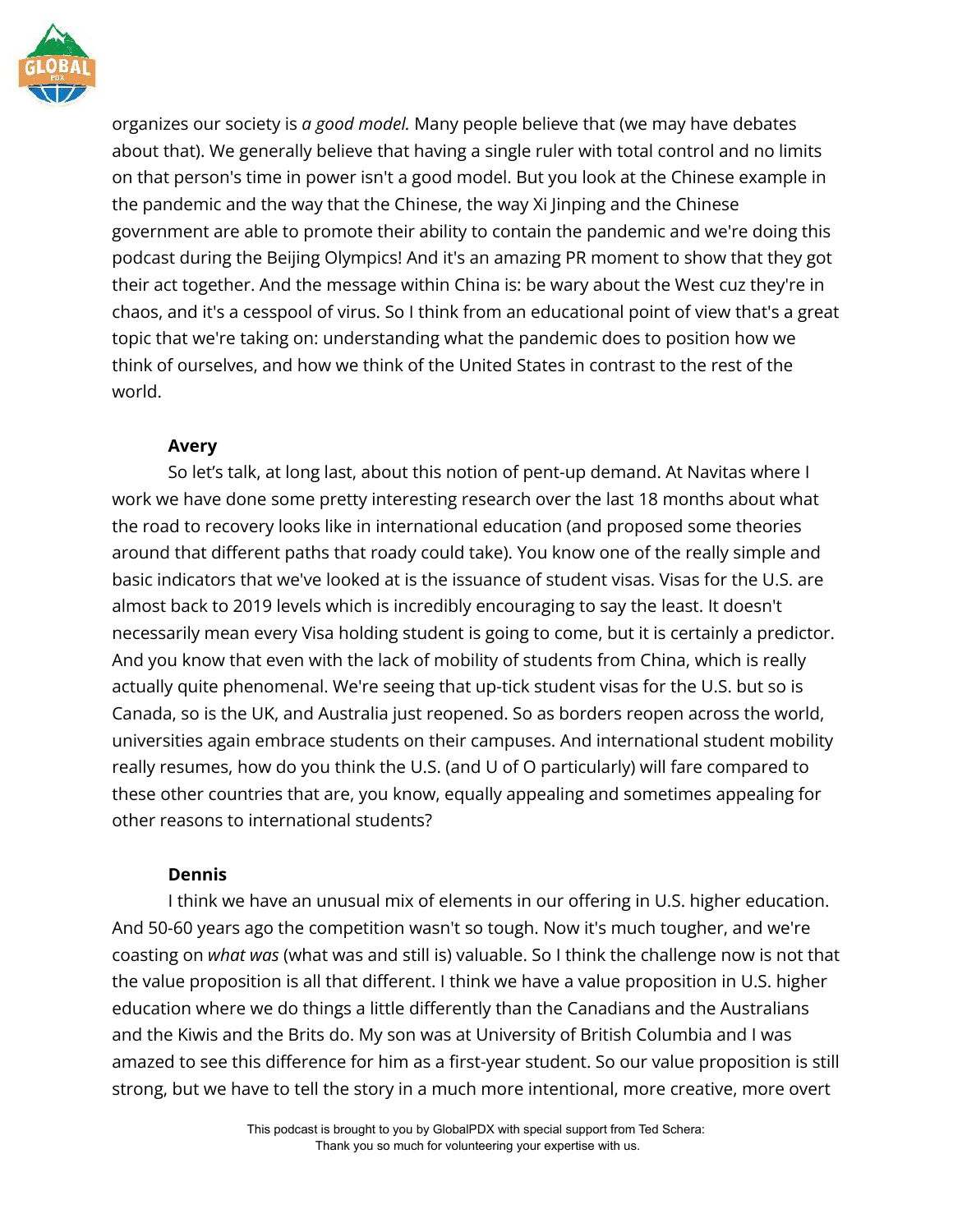

organizes our society is *a good model.* Many people believe that (we may have debates about that). We generally believe that having a single ruler with total control and no limits on that person's time in power isn't a good model. But you look at the Chinese example in the pandemic and the way that the Chinese, the way Xi Jinping and the Chinese government are able to promote their ability to contain the pandemic and we're doing this podcast during the Beijing Olympics! And it's an amazing PR moment to show that they got their act together. And the message within China is: be wary about the West cuz they're in chaos, and it's a cesspool of virus. So I think from an educational point of view that's a great topic that we're taking on: understanding what the pandemic does to position how we think of ourselves, and how we think of the United States in contrast to the rest of the world.

# **Avery**

So let's talk, at long last, about this notion of pent-up demand. At Navitas where I work we have done some pretty interesting research over the last 18 months about what the road to recovery looks like in international education (and proposed some theories around that different paths that roady could take). You know one of the really simple and basic indicators that we've looked at is the issuance of student visas. Visas for the U.S. are almost back to 2019 levels which is incredibly encouraging to say the least. It doesn't necessarily mean every Visa holding student is going to come, but it is certainly a predictor. And you know that even with the lack of mobility of students from China, which is really actually quite phenomenal. We're seeing that up-tick student visas for the U.S. but so is Canada, so is the UK, and Australia just reopened. So as borders reopen across the world, universities again embrace students on their campuses. And international student mobility really resumes, how do you think the U.S. (and U of O particularly) will fare compared to these other countries that are, you know, equally appealing and sometimes appealing for other reasons to international students?

# **Dennis**

I think we have an unusual mix of elements in our offering in U.S. higher education. And 50-60 years ago the competition wasn't so tough. Now it's much tougher, and we're coasting on *what was* (what was and still is) valuable. So I think the challenge now is not that the value proposition is all that different. I think we have a value proposition in U.S. higher education where we do things a little differently than the Canadians and the Australians and the Kiwis and the Brits do. My son was at University of British Columbia and I was amazed to see this difference for him as a first-year student. So our value proposition is still strong, but we have to tell the story in a much more intentional, more creative, more overt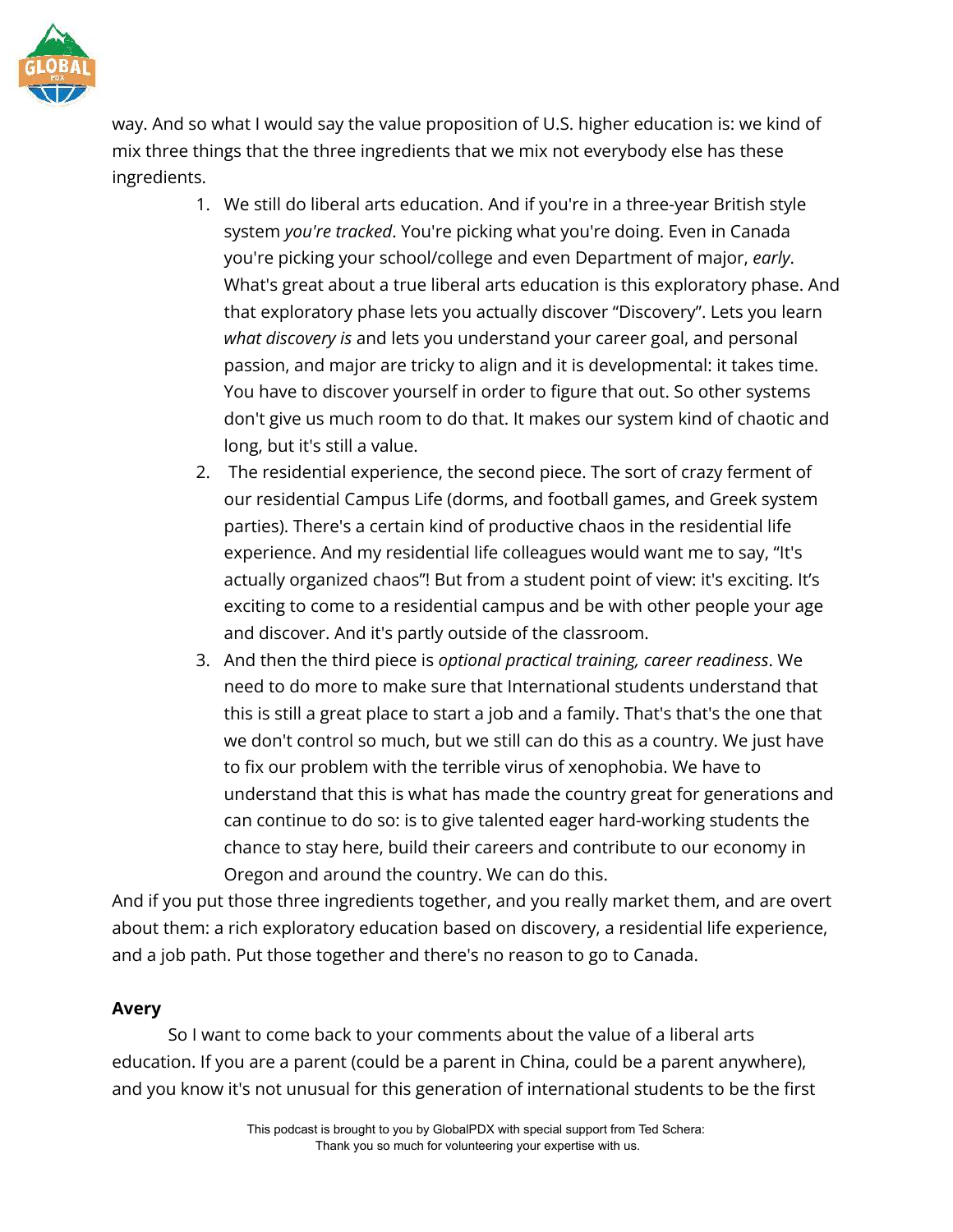

way. And so what I would say the value proposition of U.S. higher education is: we kind of mix three things that the three ingredients that we mix not everybody else has these ingredients.

- 1. We still do liberal arts education. And if you're in a three-year British style system *you're tracked*. You're picking what you're doing. Even in Canada you're picking your school/college and even Department of major, *early*. What's great about a true liberal arts education is this exploratory phase. And that exploratory phase lets you actually discover "Discovery". Lets you learn *what discovery is* and lets you understand your career goal, and personal passion, and major are tricky to align and it is developmental: it takes time. You have to discover yourself in order to figure that out. So other systems don't give us much room to do that. It makes our system kind of chaotic and long, but it's still a value.
- 2. The residential experience, the second piece. The sort of crazy ferment of our residential Campus Life (dorms, and football games, and Greek system parties). There's a certain kind of productive chaos in the residential life experience. And my residential life colleagues would want me to say, "It's actually organized chaos"! But from a student point of view: it's exciting. It's exciting to come to a residential campus and be with other people your age and discover. And it's partly outside of the classroom.
- 3. And then the third piece is *optional practical training, career readiness*. We need to do more to make sure that International students understand that this is still a great place to start a job and a family. That's that's the one that we don't control so much, but we still can do this as a country. We just have to fix our problem with the terrible virus of xenophobia. We have to understand that this is what has made the country great for generations and can continue to do so: is to give talented eager hard-working students the chance to stay here, build their careers and contribute to our economy in Oregon and around the country. We can do this.

And if you put those three ingredients together, and you really market them, and are overt about them: a rich exploratory education based on discovery, a residential life experience, and a job path. Put those together and there's no reason to go to Canada.

## **Avery**

So I want to come back to your comments about the value of a liberal arts education. If you are a parent (could be a parent in China, could be a parent anywhere), and you know it's not unusual for this generation of international students to be the first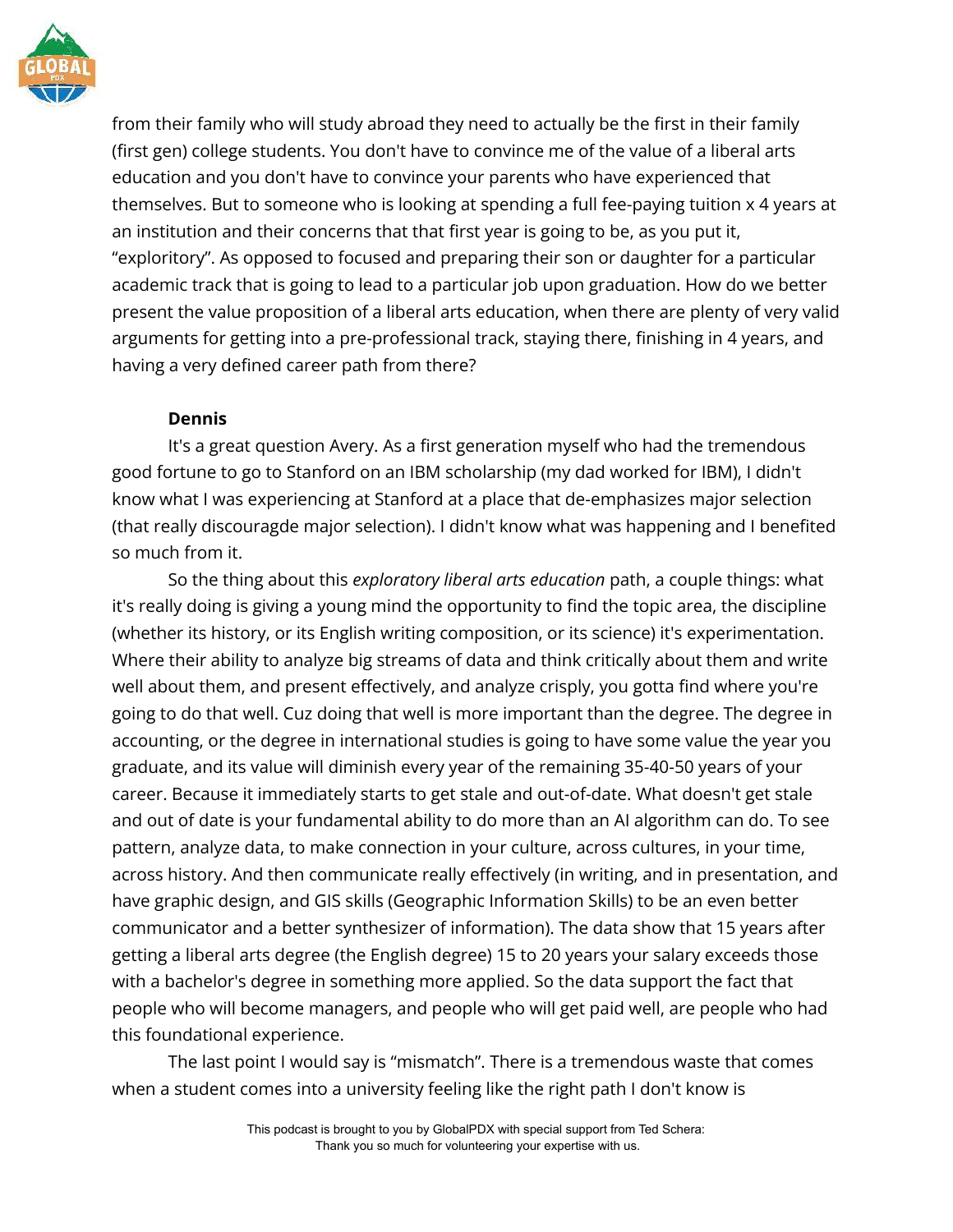

from their family who will study abroad they need to actually be the first in their family (first gen) college students. You don't have to convince me of the value of a liberal arts education and you don't have to convince your parents who have experienced that themselves. But to someone who is looking at spending a full fee-paying tuition x 4 years at an institution and their concerns that that first year is going to be, as you put it, "exploritory". As opposed to focused and preparing their son or daughter for a particular academic track that is going to lead to a particular job upon graduation. How do we better present the value proposition of a liberal arts education, when there are plenty of very valid arguments for getting into a pre-professional track, staying there, finishing in 4 years, and having a very defined career path from there?

## **Dennis**

It's a great question Avery. As a first generation myself who had the tremendous good fortune to go to Stanford on an IBM scholarship (my dad worked for IBM), I didn't know what I was experiencing at Stanford at a place that de-emphasizes major selection (that really discouragde major selection). I didn't know what was happening and I benefited so much from it.

So the thing about this *exploratory liberal arts education* path, a couple things: what it's really doing is giving a young mind the opportunity to find the topic area, the discipline (whether its history, or its English writing composition, or its science) it's experimentation. Where their ability to analyze big streams of data and think critically about them and write well about them, and present effectively, and analyze crisply, you gotta find where you're going to do that well. Cuz doing that well is more important than the degree. The degree in accounting, or the degree in international studies is going to have some value the year you graduate, and its value will diminish every year of the remaining 35-40-50 years of your career. Because it immediately starts to get stale and out-of-date. What doesn't get stale and out of date is your fundamental ability to do more than an AI algorithm can do. To see pattern, analyze data, to make connection in your culture, across cultures, in your time, across history. And then communicate really effectively (in writing, and in presentation, and have graphic design, and GIS skills (Geographic Information Skills) to be an even better communicator and a better synthesizer of information). The data show that 15 years after getting a liberal arts degree (the English degree) 15 to 20 years your salary exceeds those with a bachelor's degree in something more applied. So the data support the fact that people who will become managers, and people who will get paid well, are people who had this foundational experience.

The last point I would say is "mismatch". There is a tremendous waste that comes when a student comes into a university feeling like the right path I don't know is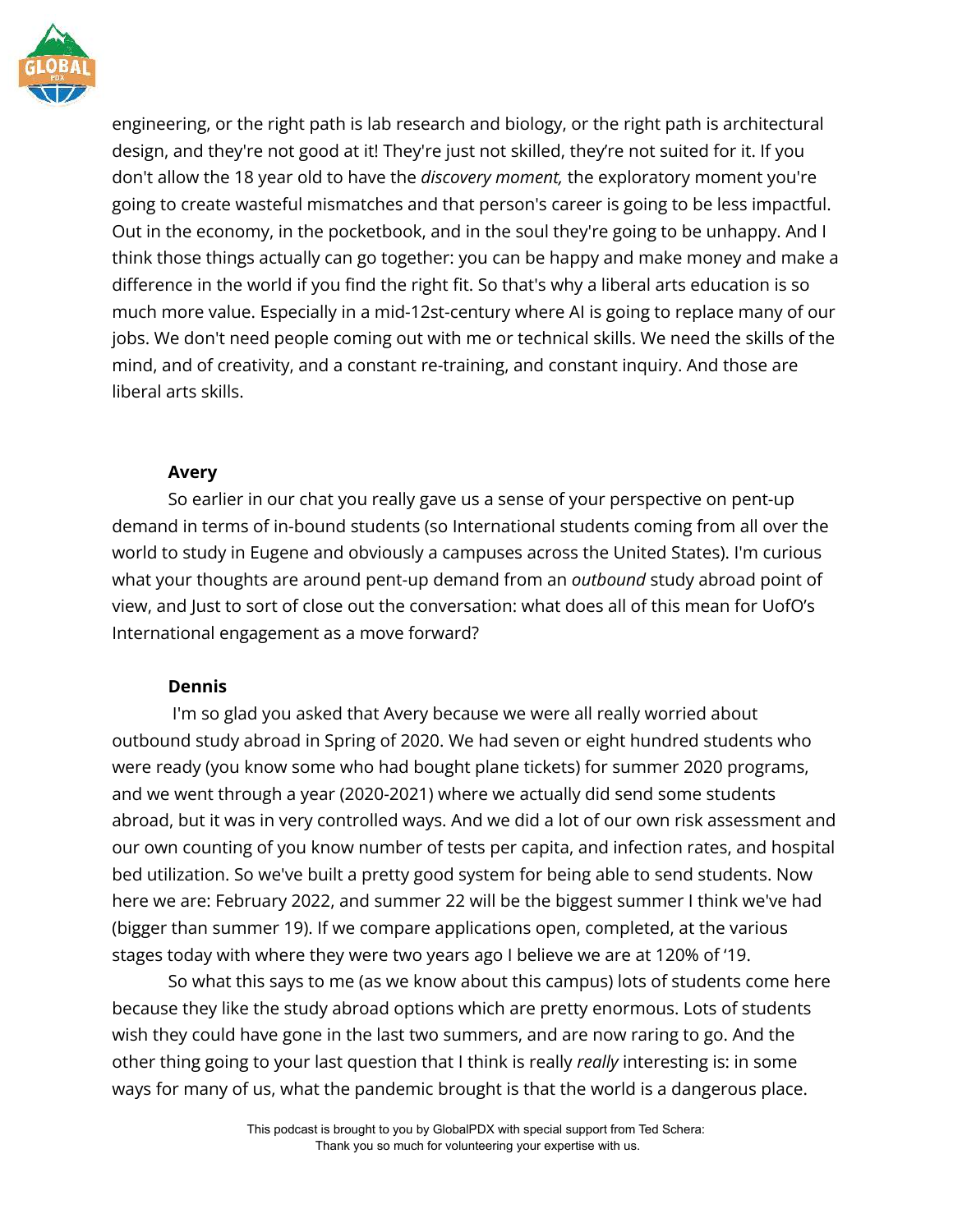

engineering, or the right path is lab research and biology, or the right path is architectural design, and they're not good at it! They're just not skilled, they're not suited for it. If you don't allow the 18 year old to have the *discovery moment,* the exploratory moment you're going to create wasteful mismatches and that person's career is going to be less impactful. Out in the economy, in the pocketbook, and in the soul they're going to be unhappy. And I think those things actually can go together: you can be happy and make money and make a difference in the world if you find the right fit. So that's why a liberal arts education is so much more value. Especially in a mid-12st-century where AI is going to replace many of our jobs. We don't need people coming out with me or technical skills. We need the skills of the mind, and of creativity, and a constant re-training, and constant inquiry. And those are liberal arts skills.

## **Avery**

So earlier in our chat you really gave us a sense of your perspective on pent-up demand in terms of in-bound students (so International students coming from all over the world to study in Eugene and obviously a campuses across the United States). I'm curious what your thoughts are around pent-up demand from an *outbound* study abroad point of view, and Just to sort of close out the conversation: what does all of this mean for UofO's International engagement as a move forward?

# **Dennis**

I'm so glad you asked that Avery because we were all really worried about outbound study abroad in Spring of 2020. We had seven or eight hundred students who were ready (you know some who had bought plane tickets) for summer 2020 programs, and we went through a year (2020-2021) where we actually did send some students abroad, but it was in very controlled ways. And we did a lot of our own risk assessment and our own counting of you know number of tests per capita, and infection rates, and hospital bed utilization. So we've built a pretty good system for being able to send students. Now here we are: February 2022, and summer 22 will be the biggest summer I think we've had (bigger than summer 19). If we compare applications open, completed, at the various stages today with where they were two years ago I believe we are at 120% of '19.

So what this says to me (as we know about this campus) lots of students come here because they like the study abroad options which are pretty enormous. Lots of students wish they could have gone in the last two summers, and are now raring to go. And the other thing going to your last question that I think is really *really* interesting is: in some ways for many of us, what the pandemic brought is that the world is a dangerous place.